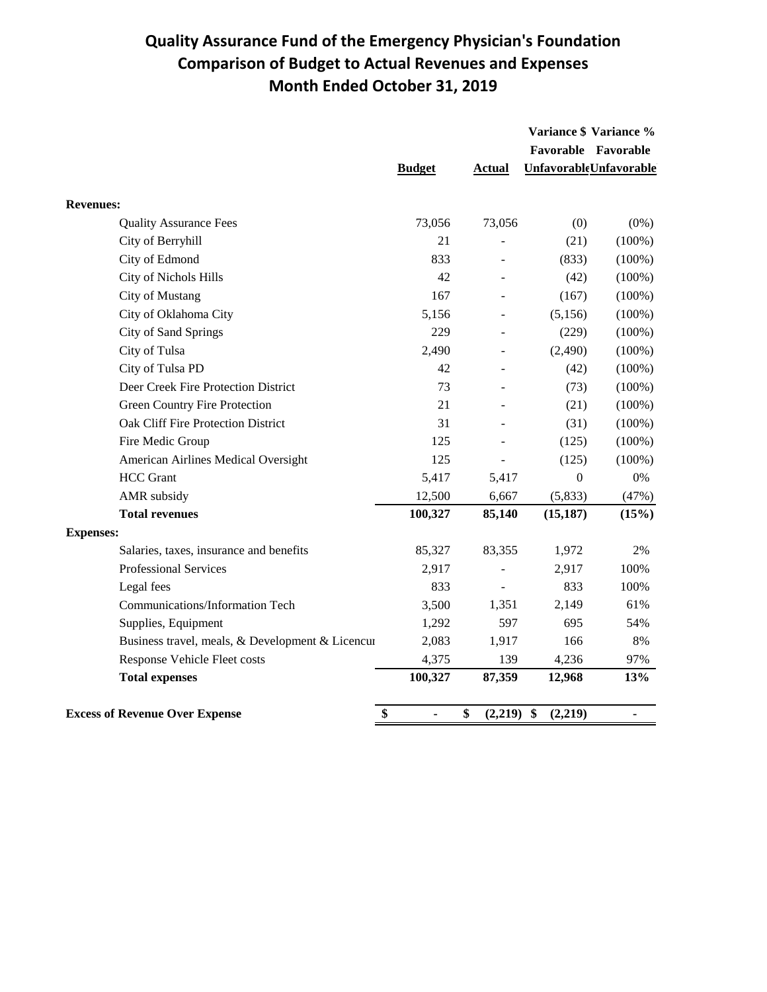## **Quality Assurance Fund of the Emergency Physician's Foundation Comparison of Budget to Actual Revenues and Expenses Month Ended October 31, 2019**

|                                                  |                      |                    |                  | Variance \$ Variance %        |
|--------------------------------------------------|----------------------|--------------------|------------------|-------------------------------|
|                                                  |                      |                    |                  | Favorable Favorable           |
|                                                  | <b>Budget</b>        | <b>Actual</b>      |                  | <b>UnfavorableUnfavorable</b> |
| <b>Revenues:</b>                                 |                      |                    |                  |                               |
| <b>Quality Assurance Fees</b>                    | 73,056               | 73,056             | (0)              | $(0\%)$                       |
| City of Berryhill                                | 21                   |                    | (21)             | $(100\%)$                     |
| City of Edmond                                   | 833                  |                    | (833)            | $(100\%)$                     |
| City of Nichols Hills                            | 42                   |                    | (42)             | $(100\%)$                     |
| City of Mustang                                  | 167                  |                    | (167)            | $(100\%)$                     |
| City of Oklahoma City                            | 5,156                |                    | (5,156)          | $(100\%)$                     |
| City of Sand Springs                             | 229                  |                    | (229)            | $(100\%)$                     |
| City of Tulsa                                    | 2,490                |                    | (2,490)          | $(100\%)$                     |
| City of Tulsa PD                                 | 42                   | ٠                  | (42)             | $(100\%)$                     |
| Deer Creek Fire Protection District              | 73                   |                    | (73)             | $(100\%)$                     |
| Green Country Fire Protection                    | 21                   |                    | (21)             | $(100\%)$                     |
| Oak Cliff Fire Protection District               | 31                   |                    | (31)             | $(100\%)$                     |
| Fire Medic Group                                 | 125                  |                    | (125)            | $(100\%)$                     |
| American Airlines Medical Oversight              | 125                  |                    | (125)            | $(100\%)$                     |
| <b>HCC</b> Grant                                 | 5,417                | 5,417              | $\boldsymbol{0}$ | $0\%$                         |
| AMR subsidy                                      | 12,500               | 6,667              | (5,833)          | (47%)                         |
| <b>Total revenues</b>                            | 100,327              | 85,140             | (15, 187)        | (15%)                         |
| <b>Expenses:</b>                                 |                      |                    |                  |                               |
| Salaries, taxes, insurance and benefits          | 85,327               | 83,355             | 1,972            | 2%                            |
| Professional Services                            | 2,917                |                    | 2,917            | 100%                          |
| Legal fees                                       | 833                  |                    | 833              | 100%                          |
| Communications/Information Tech                  | 3,500                | 1,351              | 2,149            | 61%                           |
| Supplies, Equipment                              | 1,292                | 597                | 695              | 54%                           |
| Business travel, meals, & Development & Licencur | 2,083                | 1,917              | 166              | 8%                            |
| Response Vehicle Fleet costs                     | 4,375                | 139                | 4,236            | 97%                           |
| <b>Total expenses</b>                            | 100,327              | 87,359             | 12,968           | 13%                           |
| <b>Excess of Revenue Over Expense</b>            | \$<br>$\blacksquare$ | \$<br>$(2,219)$ \$ | (2,219)          | $\blacksquare$                |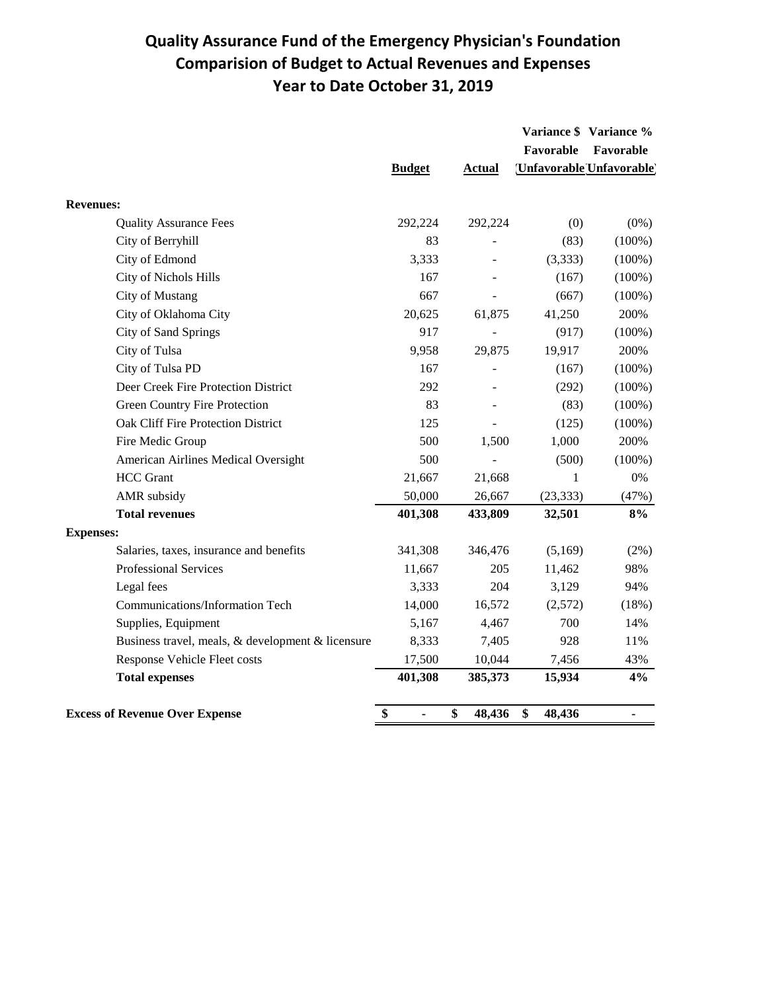## **Quality Assurance Fund of the Emergency Physician's Foundation Comparision of Budget to Actual Revenues and Expenses Year to Date October 31, 2019**

|                                                   |                      |               | Favorable    | Variance \$ Variance %               |
|---------------------------------------------------|----------------------|---------------|--------------|--------------------------------------|
|                                                   | <b>Budget</b>        | <b>Actual</b> |              | Favorable<br>Unfavorable Unfavorable |
| <b>Revenues:</b>                                  |                      |               |              |                                      |
| <b>Quality Assurance Fees</b>                     | 292,224              | 292,224       | (0)          | $(0\%)$                              |
| City of Berryhill                                 | 83                   |               | (83)         | $(100\%)$                            |
| City of Edmond                                    | 3,333                |               | (3,333)      | $(100\%)$                            |
| City of Nichols Hills                             | 167                  |               | (167)        | $(100\%)$                            |
| City of Mustang                                   | 667                  |               | (667)        | $(100\%)$                            |
| City of Oklahoma City                             | 20,625               | 61,875        | 41,250       | 200%                                 |
| City of Sand Springs                              | 917                  |               | (917)        | $(100\%)$                            |
| City of Tulsa                                     | 9,958                | 29,875        | 19,917       | 200%                                 |
| City of Tulsa PD                                  | 167                  |               | (167)        | $(100\%)$                            |
| Deer Creek Fire Protection District               | 292                  |               | (292)        | $(100\%)$                            |
| <b>Green Country Fire Protection</b>              | 83                   |               | (83)         | $(100\%)$                            |
| Oak Cliff Fire Protection District                | 125                  |               | (125)        | $(100\%)$                            |
| Fire Medic Group                                  | 500                  | 1,500         | 1,000        | 200%                                 |
| American Airlines Medical Oversight               | 500                  |               | (500)        | $(100\%)$                            |
| <b>HCC</b> Grant                                  | 21,667               | 21,668        | 1            | $0\%$                                |
| AMR subsidy                                       | 50,000               | 26,667        | (23, 333)    | (47%)                                |
| <b>Total revenues</b>                             | 401,308              | 433,809       | 32,501       | 8%                                   |
| <b>Expenses:</b>                                  |                      |               |              |                                      |
| Salaries, taxes, insurance and benefits           | 341,308              | 346,476       | (5,169)      | (2%)                                 |
| Professional Services                             | 11,667               | 205           | 11,462       | 98%                                  |
| Legal fees                                        | 3,333                | 204           | 3,129        | 94%                                  |
| Communications/Information Tech                   | 14,000               | 16,572        | (2,572)      | (18%)                                |
| Supplies, Equipment                               | 5,167                | 4,467         | 700          | 14%                                  |
| Business travel, meals, & development & licensure | 8,333                | 7,405         | 928          | 11%                                  |
| Response Vehicle Fleet costs                      | 17,500               | 10,044        | 7,456        | 43%                                  |
| <b>Total expenses</b>                             | 401,308              | 385,373       | 15,934       | 4%                                   |
| <b>Excess of Revenue Over Expense</b>             | \$<br>$\blacksquare$ | \$<br>48,436  | \$<br>48,436 | $\blacksquare$                       |